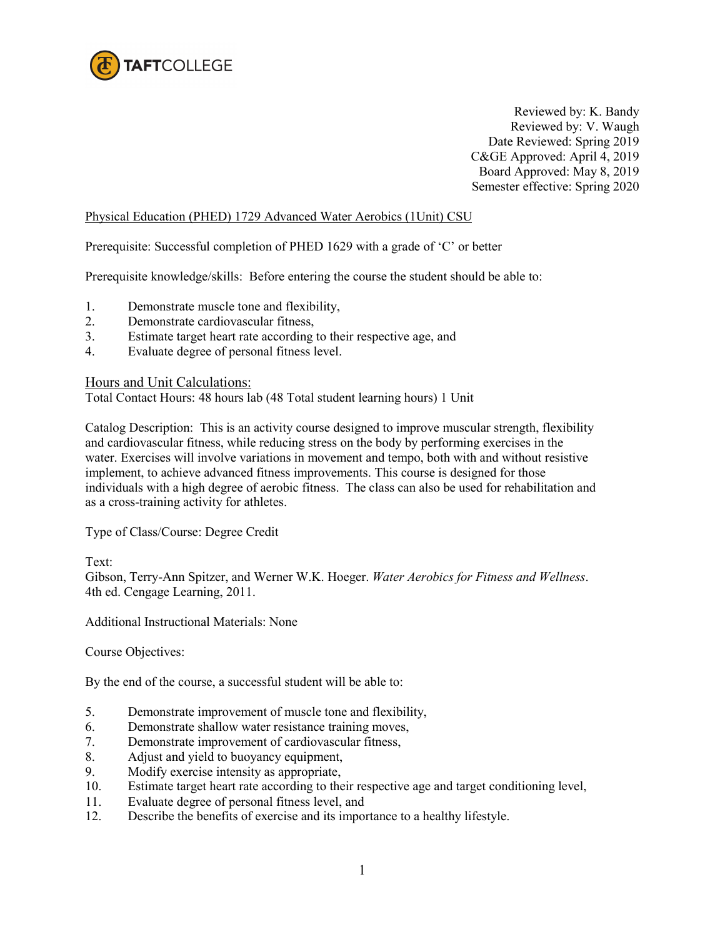

Reviewed by: K. Bandy Reviewed by: V. Waugh Date Reviewed: Spring 2019 C&GE Approved: April 4, 2019 Board Approved: May 8, 2019 Semester effective: Spring 2020

## Physical Education (PHED) 1729 Advanced Water Aerobics (1Unit) CSU

Prerequisite: Successful completion of PHED 1629 with a grade of 'C' or better

Prerequisite knowledge/skills: Before entering the course the student should be able to:

- 1. Demonstrate muscle tone and flexibility,
- 2. Demonstrate cardiovascular fitness,
- 3. Estimate target heart rate according to their respective age, and
- 4. Evaluate degree of personal fitness level.

Hours and Unit Calculations:

Total Contact Hours: 48 hours lab (48 Total student learning hours) 1 Unit

Catalog Description: This is an activity course designed to improve muscular strength, flexibility and cardiovascular fitness, while reducing stress on the body by performing exercises in the water. Exercises will involve variations in movement and tempo, both with and without resistive implement, to achieve advanced fitness improvements. This course is designed for those individuals with a high degree of aerobic fitness. The class can also be used for rehabilitation and as a cross-training activity for athletes.

Type of Class/Course: Degree Credit

Text:

Gibson, Terry-Ann Spitzer, and Werner W.K. Hoeger. *Water Aerobics for Fitness and Wellness*. 4th ed. Cengage Learning, 2011.

Additional Instructional Materials: None

Course Objectives:

By the end of the course, a successful student will be able to:

- 5. Demonstrate improvement of muscle tone and flexibility,
- 6. Demonstrate shallow water resistance training moves,
- 7. Demonstrate improvement of cardiovascular fitness,
- 8. Adjust and yield to buoyancy equipment,
- 9. Modify exercise intensity as appropriate,
- 10. Estimate target heart rate according to their respective age and target conditioning level,
- 11. Evaluate degree of personal fitness level, and
- 12. Describe the benefits of exercise and its importance to a healthy lifestyle.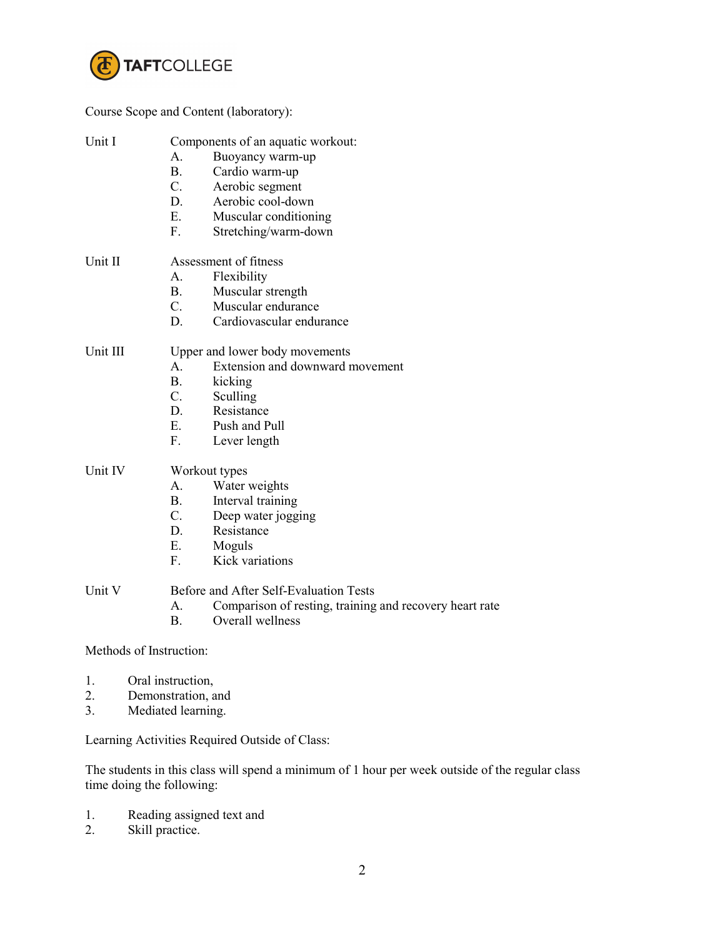

Course Scope and Content (laboratory):

| Unit I   | Components of an aquatic workout:<br>Buoyancy warm-up<br>A.<br><b>B.</b><br>Cardio warm-up<br>$C_{\cdot}$<br>Aerobic segment<br>D.<br>Aerobic cool-down<br>E.<br>Muscular conditioning<br>F.<br>Stretching/warm-down |
|----------|----------------------------------------------------------------------------------------------------------------------------------------------------------------------------------------------------------------------|
| Unit II  | Assessment of fitness<br>Flexibility<br>$A_{-}$<br><b>B.</b><br>Muscular strength<br>$C_{\cdot}$<br>Muscular endurance<br>D.<br>Cardiovascular endurance                                                             |
| Unit III | Upper and lower body movements<br>Extension and downward movement<br>A.<br><b>B.</b><br>kicking<br>$C_{\cdot}$<br>Sculling<br>D.<br>Resistance<br>$E_{\cdot}$<br>Push and Pull<br>F.<br>Lever length                 |
| Unit IV  | Workout types<br>A.<br>Water weights<br><b>B.</b><br>Interval training<br>$C_{\cdot}$<br>Deep water jogging<br>D.<br>Resistance<br>$E_{\cdot}$<br>Moguls<br>Kick variations<br>$F_{\cdot}$                           |
| Unit V   | Before and After Self-Evaluation Tests<br>Comparison of resting, training and recovery heart rate<br>А.<br>Overall wellness<br><b>B.</b>                                                                             |
|          | Methods of Instruction:                                                                                                                                                                                              |
| 1.<br>2. | Oral instruction,<br>Demonstration, and                                                                                                                                                                              |

3. Mediated learning.

Learning Activities Required Outside of Class:

The students in this class will spend a minimum of 1 hour per week outside of the regular class time doing the following:

- 1. Reading assigned text and<br>2. Skill practice.
- Skill practice.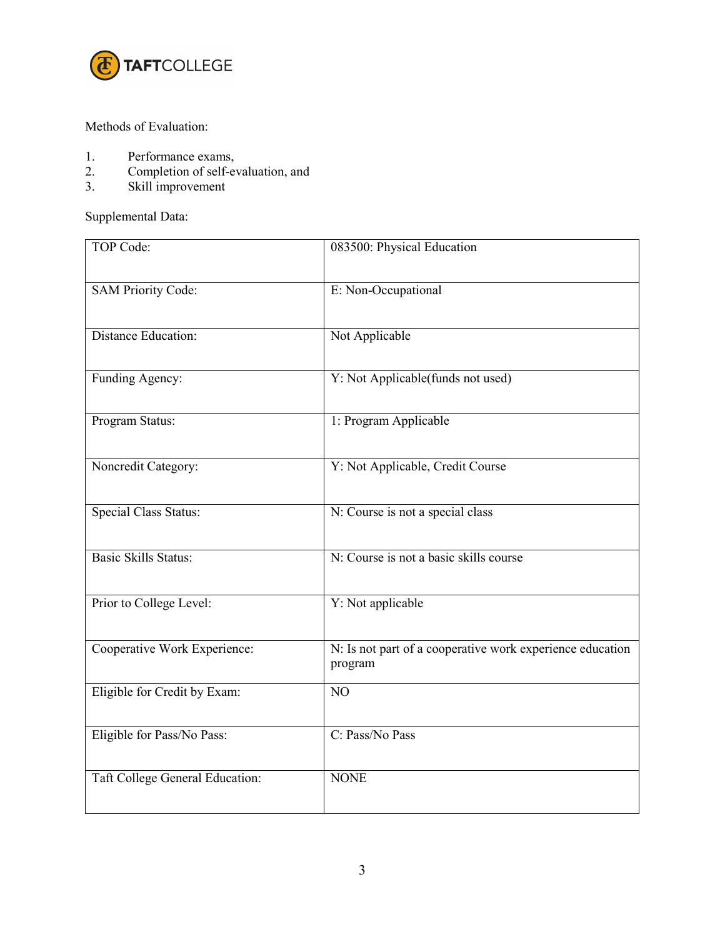

## Methods of Evaluation:

- 1. Performance exams,<br>2. Completion of self-example
- 2. Completion of self-evaluation, and
- 3. Skill improvement

Supplemental Data:

| <b>TOP Code:</b>                | 083500: Physical Education                                           |
|---------------------------------|----------------------------------------------------------------------|
| <b>SAM Priority Code:</b>       | E: Non-Occupational                                                  |
| <b>Distance Education:</b>      | Not Applicable                                                       |
| Funding Agency:                 | Y: Not Applicable(funds not used)                                    |
| Program Status:                 | 1: Program Applicable                                                |
| Noncredit Category:             | Y: Not Applicable, Credit Course                                     |
| <b>Special Class Status:</b>    | N: Course is not a special class                                     |
| <b>Basic Skills Status:</b>     | N: Course is not a basic skills course                               |
| Prior to College Level:         | Y: Not applicable                                                    |
| Cooperative Work Experience:    | N: Is not part of a cooperative work experience education<br>program |
| Eligible for Credit by Exam:    | NO                                                                   |
| Eligible for Pass/No Pass:      | C: Pass/No Pass                                                      |
| Taft College General Education: | <b>NONE</b>                                                          |